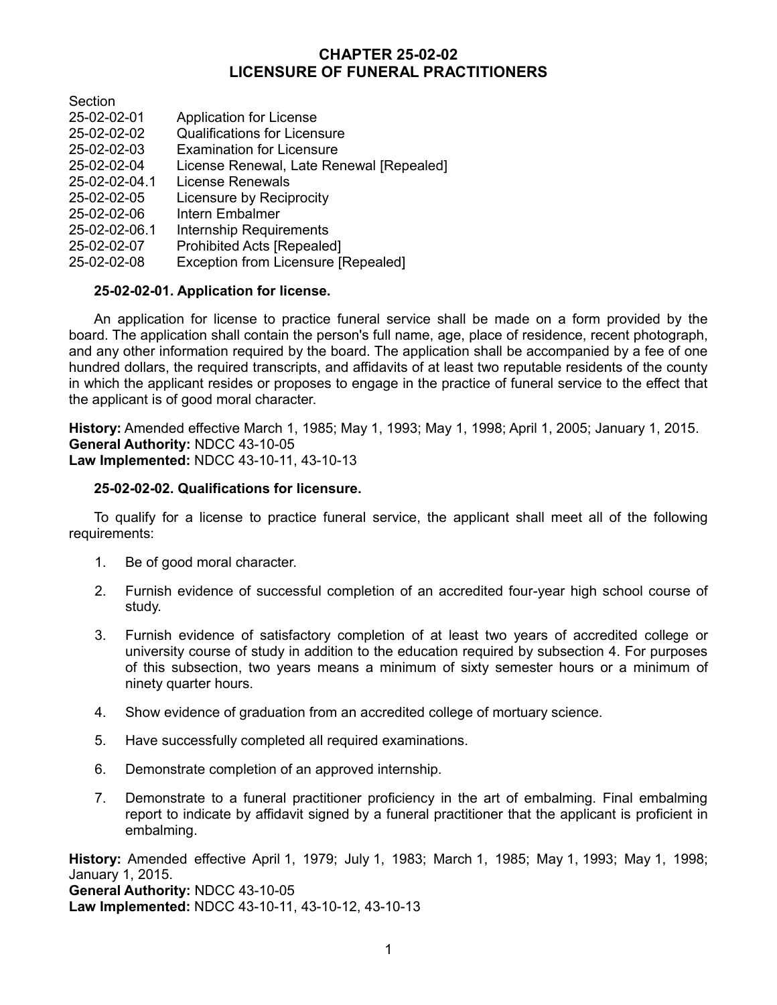# **CHAPTER 25-02-02 LICENSURE OF FUNERAL PRACTITIONERS**

**Section** 

- 25-02-02-01 Application for License
- 25-02-02-02 Qualifications for Licensure
- 25-02-02-03 Examination for Licensure
- 25-02-02-04 License Renewal, Late Renewal [Repealed]
- 25-02-02-04.1 License Renewals
- 25-02-02-05 Licensure by Reciprocity
- 25-02-02-06 Intern Embalmer
- 25-02-02-06.1 Internship Requirements
- 25-02-02-07 Prohibited Acts [Repealed]
- 25-02-02-08 Exception from Licensure [Repealed]

## **25-02-02-01. Application for license.**

An application for license to practice funeral service shall be made on a form provided by the board. The application shall contain the person's full name, age, place of residence, recent photograph, and any other information required by the board. The application shall be accompanied by a fee of one hundred dollars, the required transcripts, and affidavits of at least two reputable residents of the county in which the applicant resides or proposes to engage in the practice of funeral service to the effect that the applicant is of good moral character.

**History:** Amended effective March 1, 1985; May 1, 1993; May 1, 1998; April 1, 2005; January 1, 2015. **General Authority:** NDCC 43-10-05 **Law Implemented:** NDCC 43-10-11, 43-10-13

## **25-02-02-02. Qualifications for licensure.**

To qualify for a license to practice funeral service, the applicant shall meet all of the following requirements:

- 1. Be of good moral character.
- 2. Furnish evidence of successful completion of an accredited four-year high school course of study.
- 3. Furnish evidence of satisfactory completion of at least two years of accredited college or university course of study in addition to the education required by subsection 4. For purposes of this subsection, two years means a minimum of sixty semester hours or a minimum of ninety quarter hours.
- 4. Show evidence of graduation from an accredited college of mortuary science.
- 5. Have successfully completed all required examinations.
- 6. Demonstrate completion of an approved internship.
- 7. Demonstrate to a funeral practitioner proficiency in the art of embalming. Final embalming report to indicate by affidavit signed by a funeral practitioner that the applicant is proficient in embalming.

**History:** Amended effective April 1, 1979; July 1, 1983; March 1, 1985; May 1, 1993; May 1, 1998; January 1, 2015. **General Authority:** NDCC 43-10-05 **Law Implemented:** NDCC 43-10-11, 43-10-12, 43-10-13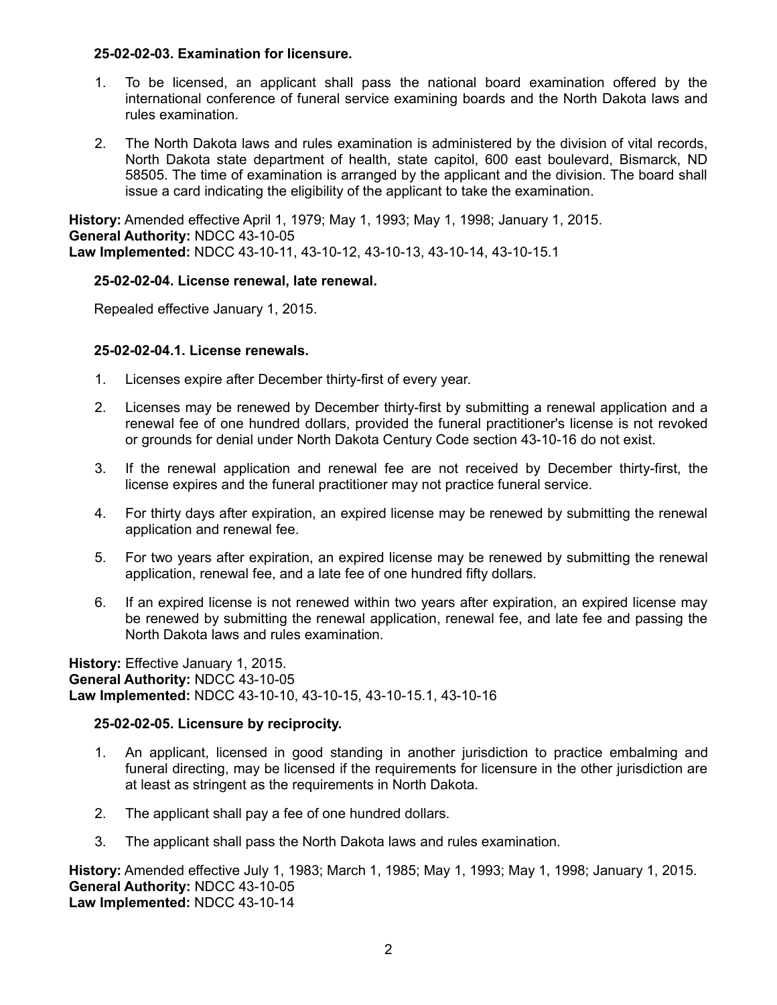## **25-02-02-03. Examination for licensure.**

- 1. To be licensed, an applicant shall pass the national board examination offered by the international conference of funeral service examining boards and the North Dakota laws and rules examination.
- 2. The North Dakota laws and rules examination is administered by the division of vital records, North Dakota state department of health, state capitol, 600 east boulevard, Bismarck, ND 58505. The time of examination is arranged by the applicant and the division. The board shall issue a card indicating the eligibility of the applicant to take the examination.

**History:** Amended effective April 1, 1979; May 1, 1993; May 1, 1998; January 1, 2015. **General Authority:** NDCC 43-10-05 **Law Implemented:** NDCC 43-10-11, 43-10-12, 43-10-13, 43-10-14, 43-10-15.1

## **25-02-02-04. License renewal, late renewal.**

Repealed effective January 1, 2015.

## **25-02-02-04.1. License renewals.**

- 1. Licenses expire after December thirty-first of every year.
- 2. Licenses may be renewed by December thirty-first by submitting a renewal application and a renewal fee of one hundred dollars, provided the funeral practitioner's license is not revoked or grounds for denial under North Dakota Century Code section 43-10-16 do not exist.
- 3. If the renewal application and renewal fee are not received by December thirty-first, the license expires and the funeral practitioner may not practice funeral service.
- 4. For thirty days after expiration, an expired license may be renewed by submitting the renewal application and renewal fee.
- 5. For two years after expiration, an expired license may be renewed by submitting the renewal application, renewal fee, and a late fee of one hundred fifty dollars.
- 6. If an expired license is not renewed within two years after expiration, an expired license may be renewed by submitting the renewal application, renewal fee, and late fee and passing the North Dakota laws and rules examination.

**History:** Effective January 1, 2015. **General Authority:** NDCC 43-10-05 **Law Implemented:** NDCC 43-10-10, 43-10-15, 43-10-15.1, 43-10-16

## **25-02-02-05. Licensure by reciprocity.**

- 1. An applicant, licensed in good standing in another jurisdiction to practice embalming and funeral directing, may be licensed if the requirements for licensure in the other jurisdiction are at least as stringent as the requirements in North Dakota.
- 2. The applicant shall pay a fee of one hundred dollars.
- 3. The applicant shall pass the North Dakota laws and rules examination.

**History:** Amended effective July 1, 1983; March 1, 1985; May 1, 1993; May 1, 1998; January 1, 2015. **General Authority:** NDCC 43-10-05 **Law Implemented:** NDCC 43-10-14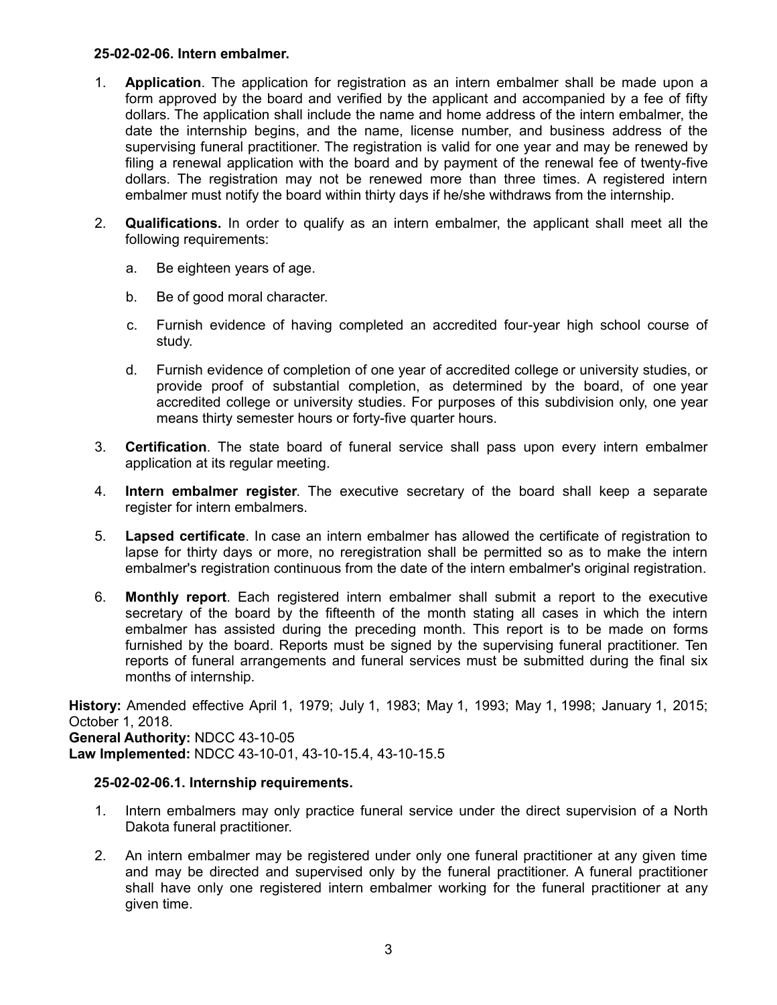## **25-02-02-06. Intern embalmer.**

- 1. **Application**. The application for registration as an intern embalmer shall be made upon a form approved by the board and verified by the applicant and accompanied by a fee of fifty dollars. The application shall include the name and home address of the intern embalmer, the date the internship begins, and the name, license number, and business address of the supervising funeral practitioner. The registration is valid for one year and may be renewed by filing a renewal application with the board and by payment of the renewal fee of twenty-five dollars. The registration may not be renewed more than three times. A registered intern embalmer must notify the board within thirty days if he/she withdraws from the internship.
- 2. **Qualifications.** In order to qualify as an intern embalmer, the applicant shall meet all the following requirements:
	- a. Be eighteen years of age.
	- b. Be of good moral character.
	- c. Furnish evidence of having completed an accredited four-year high school course of study.
	- d. Furnish evidence of completion of one year of accredited college or university studies, or provide proof of substantial completion, as determined by the board, of one year accredited college or university studies. For purposes of this subdivision only, one year means thirty semester hours or forty-five quarter hours.
- 3. **Certification**. The state board of funeral service shall pass upon every intern embalmer application at its regular meeting.
- 4. **Intern embalmer register**. The executive secretary of the board shall keep a separate register for intern embalmers.
- 5. **Lapsed certificate**. In case an intern embalmer has allowed the certificate of registration to lapse for thirty days or more, no reregistration shall be permitted so as to make the intern embalmer's registration continuous from the date of the intern embalmer's original registration.
- 6. **Monthly report**. Each registered intern embalmer shall submit a report to the executive secretary of the board by the fifteenth of the month stating all cases in which the intern embalmer has assisted during the preceding month. This report is to be made on forms furnished by the board. Reports must be signed by the supervising funeral practitioner. Ten reports of funeral arrangements and funeral services must be submitted during the final six months of internship.

**History:** Amended effective April 1, 1979; July 1, 1983; May 1, 1993; May 1, 1998; January 1, 2015; October 1, 2018. **General Authority:** NDCC 43-10-05

**Law Implemented:** NDCC 43-10-01, 43-10-15.4, 43-10-15.5

## **25-02-02-06.1. Internship requirements.**

- 1. Intern embalmers may only practice funeral service under the direct supervision of a North Dakota funeral practitioner.
- 2. An intern embalmer may be registered under only one funeral practitioner at any given time and may be directed and supervised only by the funeral practitioner. A funeral practitioner shall have only one registered intern embalmer working for the funeral practitioner at any given time.